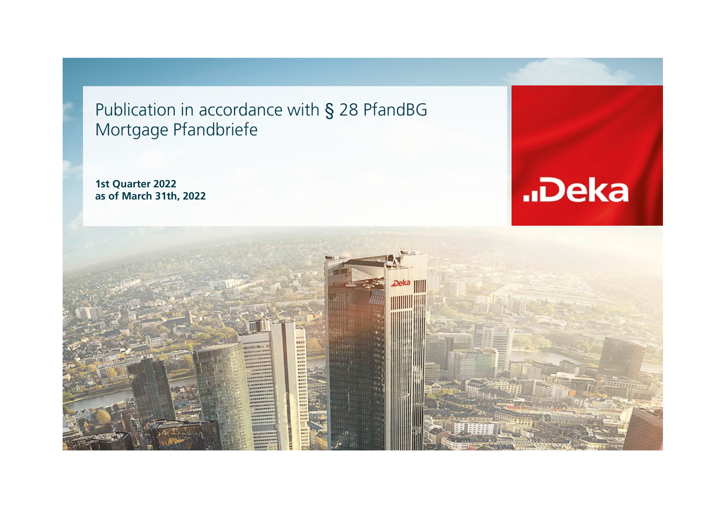Publication in accordance with § 28 PfandBG Mortgage Pfandbriefe

**1st Quarter 2022 as of March 31th, 2022**



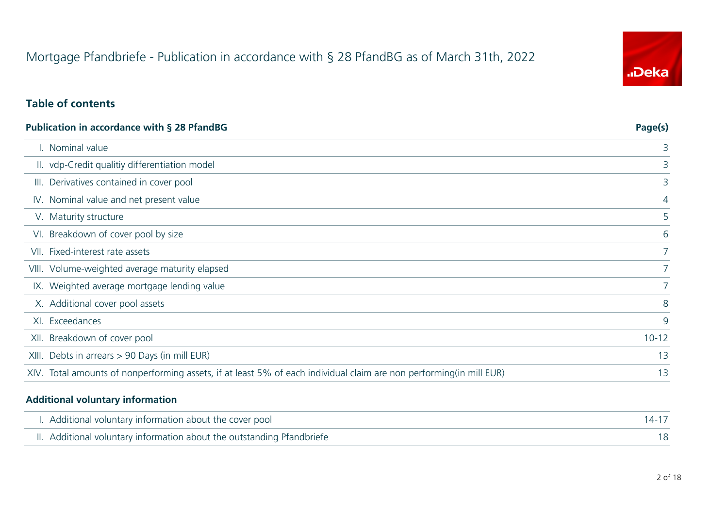# "Deka

#### **Table of contents**

| <b>Publication in accordance with § 28 PfandBG</b>                                                                  | Page(s)   |
|---------------------------------------------------------------------------------------------------------------------|-----------|
| I. Nominal value                                                                                                    | 3         |
| II. vdp-Credit qualitiy differentiation model                                                                       | 3         |
| Derivatives contained in cover pool<br>III.                                                                         | 3         |
| IV. Nominal value and net present value                                                                             | 4         |
| V. Maturity structure                                                                                               | 5         |
| Breakdown of cover pool by size<br>VI.                                                                              | 6         |
| VII. Fixed-interest rate assets                                                                                     | 7         |
| VIII. Volume-weighted average maturity elapsed                                                                      | 7         |
| IX. Weighted average mortgage lending value                                                                         | 7         |
| X. Additional cover pool assets                                                                                     | 8         |
| XI. Exceedances                                                                                                     | 9         |
| Breakdown of cover pool<br>XII.                                                                                     | $10 - 12$ |
| Debts in arrears > 90 Days (in mill EUR)<br>XIII.                                                                   | 13        |
| XIV. Total amounts of nonperforming assets, if at least 5% of each individual claim are non performing(in mill EUR) | 13        |

#### **Additional voluntary information**

| I. Additional voluntary information about the cover pool               |  |
|------------------------------------------------------------------------|--|
| II. Additional voluntary information about the outstanding Pfandbriefe |  |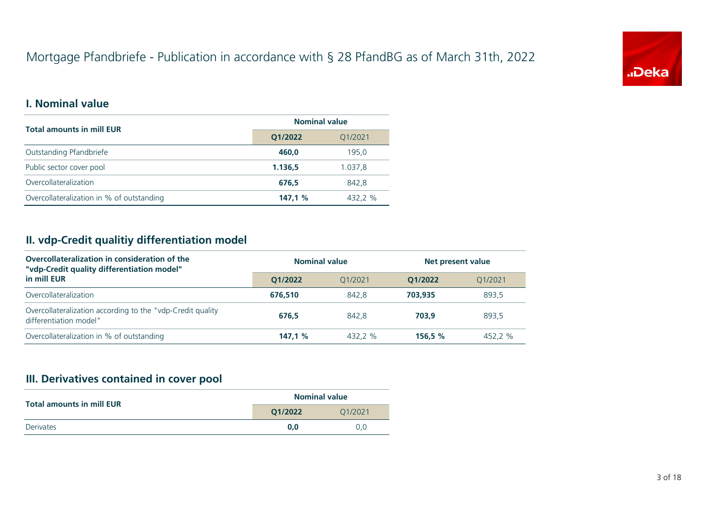

#### **I. Nominal value**

| <b>Total amounts in mill EUR</b>          | <b>Nominal value</b> |         |  |  |
|-------------------------------------------|----------------------|---------|--|--|
|                                           | Q1/2022<br>Q1/2021   |         |  |  |
| Outstanding Pfandbriefe                   | 460.0                | 195.0   |  |  |
| Public sector cover pool                  | 1.136,5              | 1.037.8 |  |  |
| Overcollateralization                     | 676.5                | 842.8   |  |  |
| Overcollateralization in % of outstanding | 147.1%               | 432.2 % |  |  |

# **II. vdp-Credit qualitiy differentiation model**

| Overcollateralization in consideration of the<br>"vdp-Credit quality differentiation model" | <b>Nominal value</b> |         | Net present value |         |  |
|---------------------------------------------------------------------------------------------|----------------------|---------|-------------------|---------|--|
| in mill EUR                                                                                 | O1/2022              | 01/2021 | 01/2022           | 01/2021 |  |
| Overcollateralization                                                                       | 676,510              | 842.8   | 703.935           | 893.5   |  |
| Overcollateralization according to the "vdp-Credit quality<br>differentiation model"        | 676.5                | 842.8   | 703.9             | 893,5   |  |
| Overcollateralization in % of outstanding                                                   | 147.1%               | 432.2 % | 156.5 %           | 452.2 % |  |

# **III. Derivatives contained in cover pool**

| <b>Total amounts in mill EUR</b> |                    | <b>Nominal value</b> |
|----------------------------------|--------------------|----------------------|
|                                  | 01/2022<br>01/2021 |                      |
| <b>Derivates</b>                 | 0.0                | U.U                  |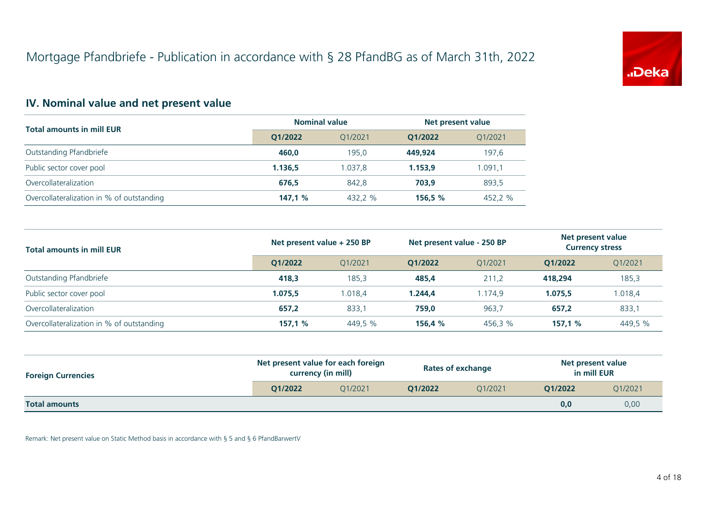

# **IV. Nominal value and net present value**

|                                           | <b>Nominal value</b> |         | Net present value  |         |  |
|-------------------------------------------|----------------------|---------|--------------------|---------|--|
| <b>Total amounts in mill EUR</b>          | 01/2022              | O1/2021 | Q1/2021<br>01/2022 |         |  |
| Outstanding Pfandbriefe                   | 460.0                | 195.0   | 449.924            | 197.6   |  |
| Public sector cover pool                  | 1.136.5              | 1.037.8 | 1.153.9            | 1.091,1 |  |
| Overcollateralization                     | 676.5                | 842,8   | 703.9              | 893,5   |  |
| Overcollateralization in % of outstanding | 147.1%               | 432.2 % | 156.5%             | 452.2 % |  |

| <b>Total amounts in mill EUR</b>          | Net present value + 250 BP |         | Net present value - 250 BP |         | Net present value<br><b>Currency stress</b> |         |
|-------------------------------------------|----------------------------|---------|----------------------------|---------|---------------------------------------------|---------|
|                                           | O1/2022                    | O1/2021 | 01/2022                    | 01/2021 | 01/2022                                     | Q1/2021 |
| Outstanding Pfandbriefe                   | 418.3                      | 185,3   | 485,4                      | 211.2   | 418,294                                     | 185,3   |
| Public sector cover pool                  | 1.075.5                    | 1.018.4 | 1.244.4                    | 1.174.9 | 1.075.5                                     | 1.018,4 |
| Overcollateralization                     | 657,2                      | 833,1   | 759,0                      | 963.7   | 657,2                                       | 833,1   |
| Overcollateralization in % of outstanding | 157,1%                     | 449,5 % | 156,4%                     | 456,3 % | 157,1%                                      | 449,5 % |

| <b>Foreign Currencies</b> | Net present value for each foreign<br>currency (in mill) |         | <b>Rates of exchange</b> |         | Net present value<br>in mill EUR |         |
|---------------------------|----------------------------------------------------------|---------|--------------------------|---------|----------------------------------|---------|
|                           | O1/2022                                                  | 01/2021 | O1/2022                  | 01/2021 | O1/2022                          | Q1/2021 |
| <b>Total amounts</b>      |                                                          |         |                          |         | 0,0                              | 0,00    |

Remark: Net present value on Static Method basis in accordance with § 5 and § 6 PfandBarwertV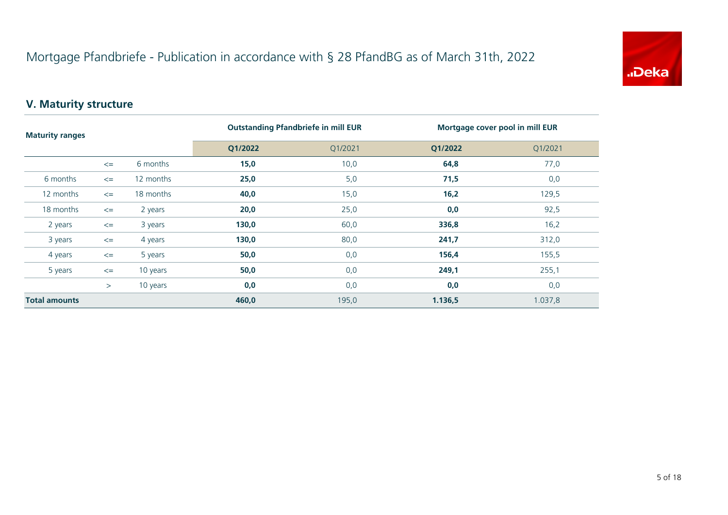

# **V. Maturity structure**

| <b>Maturity ranges</b> |        |           | <b>Outstanding Pfandbriefe in mill EUR</b> | Mortgage cover pool in mill EUR |         |         |
|------------------------|--------|-----------|--------------------------------------------|---------------------------------|---------|---------|
|                        |        |           | Q1/2022                                    | Q1/2021                         | Q1/2022 | Q1/2021 |
|                        | $\leq$ | 6 months  | 15,0                                       | 10,0                            | 64,8    | 77,0    |
| 6 months               | $\leq$ | 12 months | 25,0                                       | 5,0                             | 71,5    | 0,0     |
| 12 months              | $\leq$ | 18 months | 40,0                                       | 15,0                            | 16,2    | 129,5   |
| 18 months              | $\leq$ | 2 years   | 20,0                                       | 25,0                            | 0,0     | 92,5    |
| 2 years                | $\leq$ | 3 years   | 130,0                                      | 60,0                            | 336,8   | 16,2    |
| 3 years                | $\leq$ | 4 years   | 130,0                                      | 80,0                            | 241,7   | 312,0   |
| 4 years                | $\leq$ | 5 years   | 50,0                                       | 0,0                             | 156,4   | 155,5   |
| 5 years                | $\leq$ | 10 years  | 50,0                                       | 0,0                             | 249,1   | 255,1   |
|                        | >      | 10 years  | 0,0                                        | 0,0                             | 0,0     | 0,0     |
| <b>Total amounts</b>   |        |           | 460,0                                      | 195,0                           | 1.136,5 | 1.037,8 |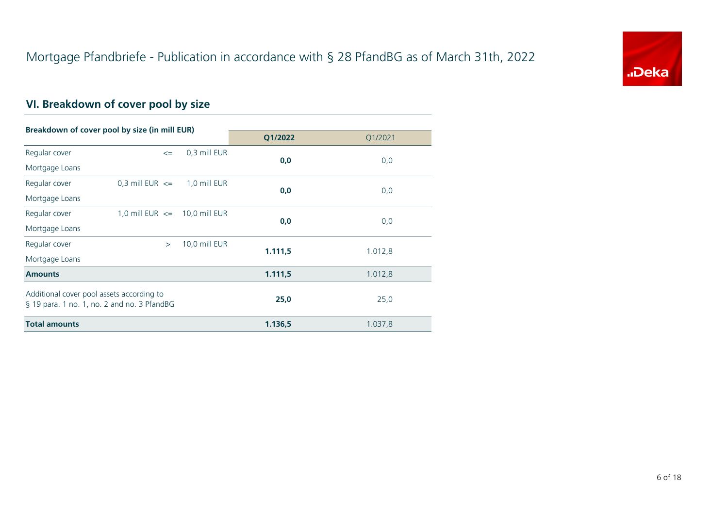

# **VI. Breakdown of cover pool by size**

| Breakdown of cover pool by size (in mill EUR)                                            |                                   |               |         |         |
|------------------------------------------------------------------------------------------|-----------------------------------|---------------|---------|---------|
|                                                                                          |                                   |               | Q1/2022 | Q1/2021 |
| Regular cover                                                                            | $\leq$                            | 0,3 mill EUR  | 0,0     |         |
| Mortgage Loans                                                                           |                                   |               |         | 0,0     |
| Regular cover                                                                            | 0.3 mill EUR $\leq$               | 1,0 mill EUR  |         |         |
| Mortgage Loans                                                                           |                                   |               | 0,0     | 0,0     |
| Regular cover                                                                            | 1,0 mill EUR $\leq$ 10,0 mill EUR |               |         |         |
| Mortgage Loans                                                                           |                                   |               | 0,0     | 0,0     |
| Regular cover                                                                            | $\geq$                            | 10,0 mill EUR |         |         |
| Mortgage Loans                                                                           |                                   |               | 1.111,5 | 1.012,8 |
| <b>Amounts</b>                                                                           |                                   |               | 1.111,5 | 1.012,8 |
| Additional cover pool assets according to<br>§ 19 para. 1 no. 1, no. 2 and no. 3 PfandBG |                                   |               | 25,0    | 25,0    |
| <b>Total amounts</b>                                                                     |                                   |               | 1.136,5 | 1.037,8 |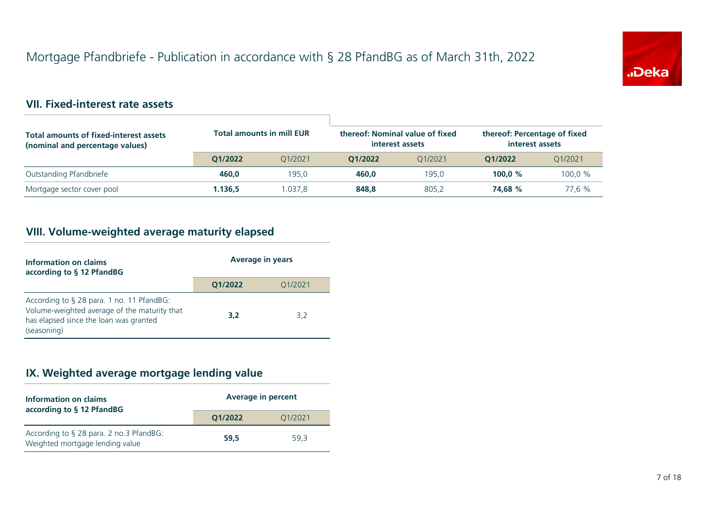

### **VII. Fixed-interest rate assets**

| <b>Total amounts of fixed-interest assets</b><br>(nominal and percentage values) | <b>Total amounts in mill EUR</b> |         | thereof: Nominal value of fixed<br>interest assets |         | thereof: Percentage of fixed<br>interest assets |         |
|----------------------------------------------------------------------------------|----------------------------------|---------|----------------------------------------------------|---------|-------------------------------------------------|---------|
|                                                                                  | 01/2022                          | O1/2021 | 01/2022                                            | O1/2021 | 01/2022                                         | 01/2021 |
| Outstanding Pfandbriefe                                                          | 460.0                            | 195.0   | 460.0                                              | 195.0   | 100.0 $%$                                       | 100.0 % |
| Mortgage sector cover pool                                                       | 1.136,5                          | .037.8  | 848,8                                              | 805,2   | 74.68 %                                         | 77.6 %  |

# **VIII. Volume-weighted average maturity elapsed**

| Information on claims<br>according to § 12 PfandBG                                                                                                 | <b>Average in years</b> |         |  |
|----------------------------------------------------------------------------------------------------------------------------------------------------|-------------------------|---------|--|
|                                                                                                                                                    | 01/2022                 | 01/2021 |  |
| According to § 28 para. 1 no. 11 PfandBG:<br>Volume-weighted average of the maturity that<br>has elapsed since the loan was granted<br>(seasoning) | 3.2                     | 3.2     |  |

# **IX. Weighted average mortgage lending value**

| Information on claims<br>according to § 12 PfandBG                         | <b>Average in percent</b> |         |  |
|----------------------------------------------------------------------------|---------------------------|---------|--|
|                                                                            | O1/2022                   | Q1/2021 |  |
| According to § 28 para. 2 no.3 PfandBG:<br>Weighted mortgage lending value | 59.5                      | 59.3    |  |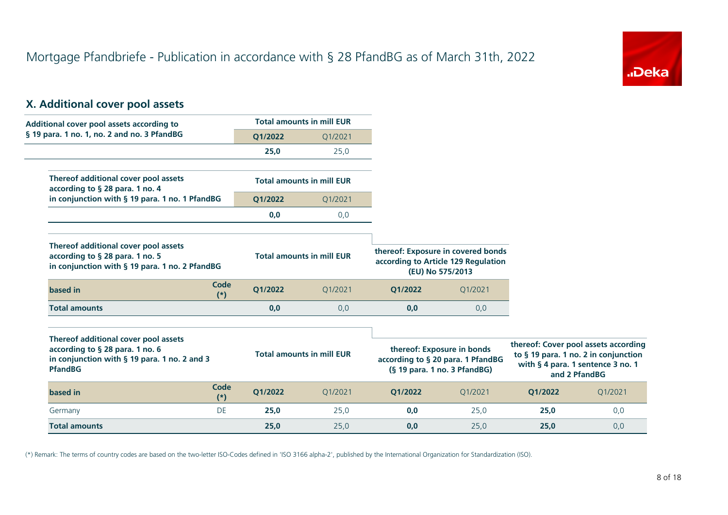

#### **X. Additional cover pool assets**

| Additional cover pool assets according to                                                                                                 |               |         | <b>Total amounts in mill EUR</b> |         |                                                                                                 |         |                                                                                                                                    |
|-------------------------------------------------------------------------------------------------------------------------------------------|---------------|---------|----------------------------------|---------|-------------------------------------------------------------------------------------------------|---------|------------------------------------------------------------------------------------------------------------------------------------|
| § 19 para. 1 no. 1, no. 2 and no. 3 PfandBG                                                                                               |               | Q1/2022 | Q1/2021                          |         |                                                                                                 |         |                                                                                                                                    |
|                                                                                                                                           |               | 25,0    | 25,0                             |         |                                                                                                 |         |                                                                                                                                    |
| Thereof additional cover pool assets<br>according to § 28 para. 1 no. 4                                                                   |               |         | <b>Total amounts in mill EUR</b> |         |                                                                                                 |         |                                                                                                                                    |
| in conjunction with § 19 para. 1 no. 1 PfandBG                                                                                            |               | Q1/2022 | Q1/2021                          |         |                                                                                                 |         |                                                                                                                                    |
|                                                                                                                                           |               | 0,0     | 0,0                              |         |                                                                                                 |         |                                                                                                                                    |
| Thereof additional cover pool assets<br>according to § 28 para. 1 no. 5<br>in conjunction with § 19 para. 1 no. 2 PfandBG                 |               |         | <b>Total amounts in mill EUR</b> |         | thereof: Exposure in covered bonds<br>according to Article 129 Regulation<br>(EU) No 575/2013   |         |                                                                                                                                    |
| based in                                                                                                                                  | Code<br>$(*)$ | O1/2022 | Q1/2021                          | Q1/2022 | Q1/2021                                                                                         |         |                                                                                                                                    |
| <b>Total amounts</b>                                                                                                                      |               | 0,0     | 0,0                              | 0,0     | 0,0                                                                                             |         |                                                                                                                                    |
| Thereof additional cover pool assets<br>according to § 28 para. 1 no. 6<br>in conjunction with § 19 para. 1 no. 2 and 3<br><b>PfandBG</b> |               |         | <b>Total amounts in mill EUR</b> |         | thereof: Exposure in bonds<br>according to § 20 para. 1 PfandBG<br>(§ 19 para. 1 no. 3 PfandBG) |         | thereof: Cover pool assets according<br>to § 19 para. 1 no. 2 in conjunction<br>with § 4 para. 1 sentence 3 no. 1<br>and 2 PfandBG |
| based in                                                                                                                                  | Code<br>$(*)$ | Q1/2022 | Q1/2021                          | Q1/2022 | Q1/2021                                                                                         | Q1/2022 | Q1/2021                                                                                                                            |
| Germany                                                                                                                                   | DE            | 25,0    | 25,0                             | 0,0     | 25,0                                                                                            | 25,0    | 0,0                                                                                                                                |

**Total amounts 25,0** 25,0 **0,0** 25,0 **25,0** 0,0

(\*) Remark: The terms of country codes are based on the two-letter ISO-Codes defined in 'ISO 3166 alpha-2', published by the International Organization for Standardization (ISO).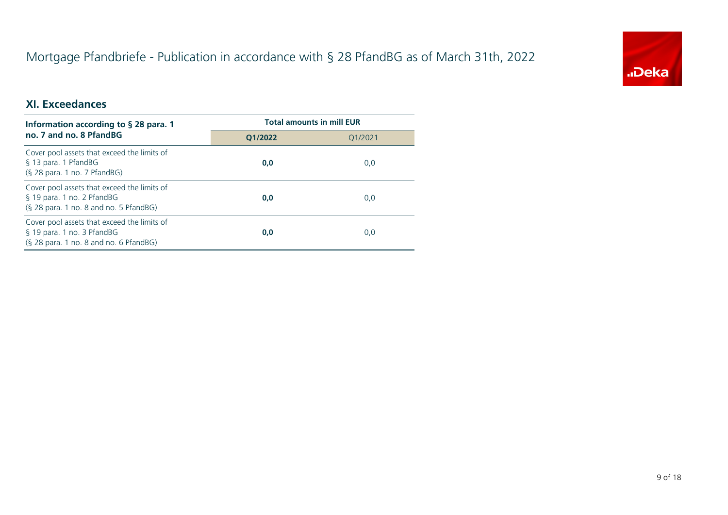

#### **XI. Exceedances**

| Information according to $\S$ 28 para. 1                                                                            | <b>Total amounts in mill EUR</b> |         |  |
|---------------------------------------------------------------------------------------------------------------------|----------------------------------|---------|--|
| no. 7 and no. 8 PfandBG                                                                                             | 01/2022                          | 01/2021 |  |
| Cover pool assets that exceed the limits of<br>§ 13 para. 1 PfandBG<br>$(S, 28)$ para. 1 no. 7 PfandBG)             | 0,0                              | 0,0     |  |
| Cover pool assets that exceed the limits of<br>§ 19 para. 1 no. 2 PfandBG<br>(§ 28 para. 1 no. 8 and no. 5 PfandBG) | 0,0                              | 0,0     |  |
| Cover pool assets that exceed the limits of<br>§ 19 para. 1 no. 3 PfandBG<br>(§ 28 para. 1 no. 8 and no. 6 PfandBG) | 0,0                              | 0,0     |  |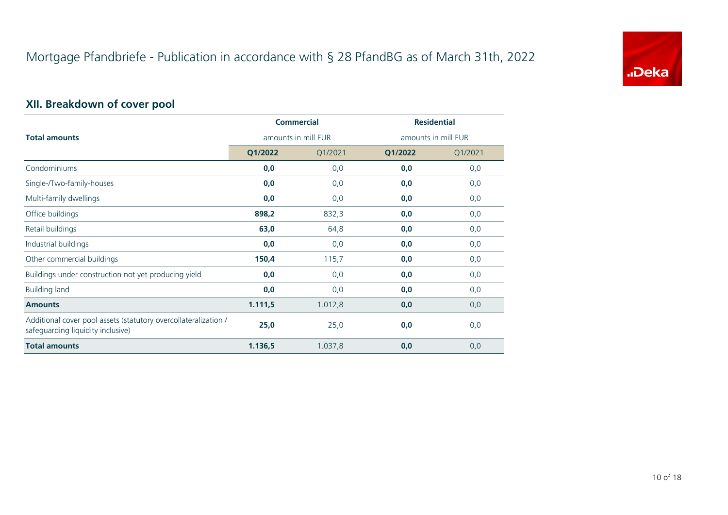

# **XII. Breakdown of cover pool**

|                                                                                                      |                     | <b>Commercial</b> | <b>Residential</b> |                     |
|------------------------------------------------------------------------------------------------------|---------------------|-------------------|--------------------|---------------------|
| <b>Total amounts</b>                                                                                 | amounts in mill EUR |                   |                    | amounts in mill EUR |
|                                                                                                      | Q1/2022             | Q1/2021           | Q1/2022            | Q1/2021             |
| Condominiums                                                                                         | 0,0                 | 0,0               | 0,0                | 0,0                 |
| Single-/Two-family-houses                                                                            | 0,0                 | 0,0               | 0,0                | 0,0                 |
| Multi-family dwellings                                                                               | 0,0                 | 0,0               | 0,0                | 0,0                 |
| Office buildings                                                                                     | 898,2               | 832,3             | 0,0                | 0,0                 |
| Retail buildings                                                                                     | 63,0                | 64,8              | 0,0                | 0,0                 |
| Industrial buildings                                                                                 | 0,0                 | 0,0               | 0,0                | 0,0                 |
| Other commercial buildings                                                                           | 150,4               | 115,7             | 0,0                | 0,0                 |
| Buildings under construction not yet producing yield                                                 | 0,0                 | 0,0               | 0,0                | 0,0                 |
| <b>Building land</b>                                                                                 | 0,0                 | 0,0               | 0,0                | 0,0                 |
| <b>Amounts</b>                                                                                       | 1.111,5             | 1.012,8           | 0,0                | 0,0                 |
| Additional cover pool assets (statutory overcollateralization /<br>safeguarding liquidity inclusive) | 25,0                | 25,0              | 0,0                | 0,0                 |
| <b>Total amounts</b>                                                                                 | 1.136,5             | 1.037,8           | 0,0                | 0,0                 |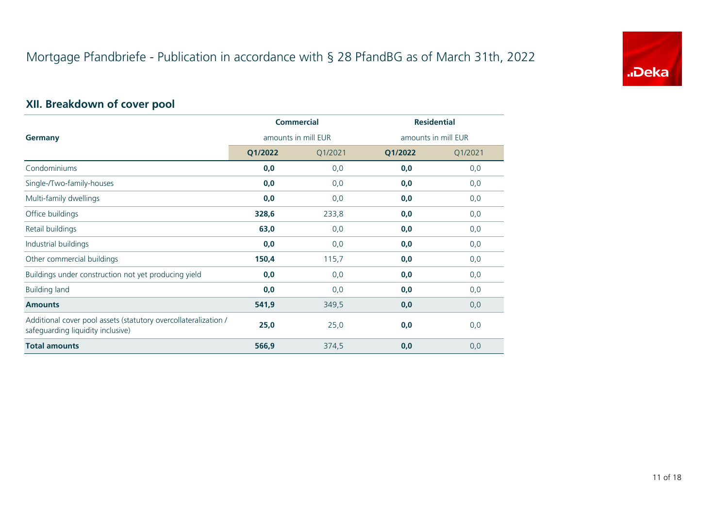

# **XII. Breakdown of cover pool**

|                                                                                                      |                     | <b>Commercial</b> | <b>Residential</b>  |         |
|------------------------------------------------------------------------------------------------------|---------------------|-------------------|---------------------|---------|
| <b>Germany</b>                                                                                       | amounts in mill EUR |                   | amounts in mill EUR |         |
|                                                                                                      | Q1/2022             | Q1/2021           | Q1/2022             | Q1/2021 |
| Condominiums                                                                                         | 0,0                 | 0,0               | 0,0                 | 0,0     |
| Single-/Two-family-houses                                                                            | 0,0                 | 0,0               | 0,0                 | 0,0     |
| Multi-family dwellings                                                                               | 0,0                 | 0,0               | 0,0                 | 0,0     |
| Office buildings                                                                                     | 328,6               | 233,8             | 0,0                 | 0,0     |
| Retail buildings                                                                                     | 63,0                | 0,0               | 0,0                 | 0,0     |
| Industrial buildings                                                                                 | 0,0                 | 0,0               | 0,0                 | 0,0     |
| Other commercial buildings                                                                           | 150,4               | 115,7             | 0,0                 | 0,0     |
| Buildings under construction not yet producing yield                                                 | 0,0                 | 0,0               | 0,0                 | 0,0     |
| <b>Building land</b>                                                                                 | 0,0                 | 0,0               | 0,0                 | 0,0     |
| <b>Amounts</b>                                                                                       | 541,9               | 349,5             | 0,0                 | 0,0     |
| Additional cover pool assets (statutory overcollateralization /<br>safeguarding liquidity inclusive) | 25,0                | 25,0              | 0,0                 | 0,0     |
| <b>Total amounts</b>                                                                                 | 566,9               | 374,5             | 0,0                 | 0,0     |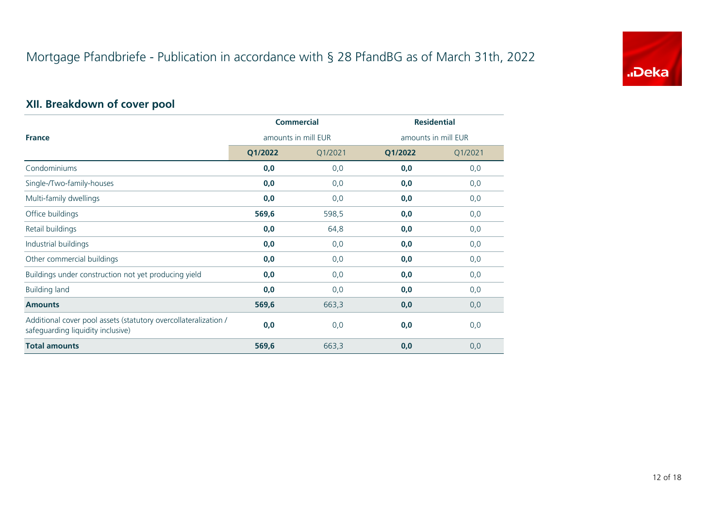

# **XII. Breakdown of cover pool**

|                                                                                                      |                     | <b>Commercial</b> | <b>Residential</b>  |         |
|------------------------------------------------------------------------------------------------------|---------------------|-------------------|---------------------|---------|
| <b>France</b>                                                                                        | amounts in mill EUR |                   | amounts in mill EUR |         |
|                                                                                                      | Q1/2022             | Q1/2021           | Q1/2022             | Q1/2021 |
| Condominiums                                                                                         | 0,0                 | 0,0               | 0,0                 | 0,0     |
| Single-/Two-family-houses                                                                            | 0,0                 | 0,0               | 0,0                 | 0,0     |
| Multi-family dwellings                                                                               | 0,0                 | 0,0               | 0,0                 | 0,0     |
| Office buildings                                                                                     | 569,6               | 598,5             | 0,0                 | 0, 0    |
| Retail buildings                                                                                     | 0,0                 | 64,8              | 0,0                 | 0,0     |
| Industrial buildings                                                                                 | 0,0                 | 0,0               | 0,0                 | 0,0     |
| Other commercial buildings                                                                           | 0,0                 | 0,0               | 0,0                 | 0, 0    |
| Buildings under construction not yet producing yield                                                 | 0,0                 | 0,0               | 0,0                 | 0, 0    |
| <b>Building land</b>                                                                                 | 0,0                 | 0,0               | 0,0                 | 0,0     |
| <b>Amounts</b>                                                                                       | 569,6               | 663,3             | 0,0                 | 0,0     |
| Additional cover pool assets (statutory overcollateralization /<br>safeguarding liquidity inclusive) | 0,0                 | 0,0               | 0,0                 | 0,0     |
| <b>Total amounts</b>                                                                                 | 569,6               | 663,3             | 0,0                 | 0,0     |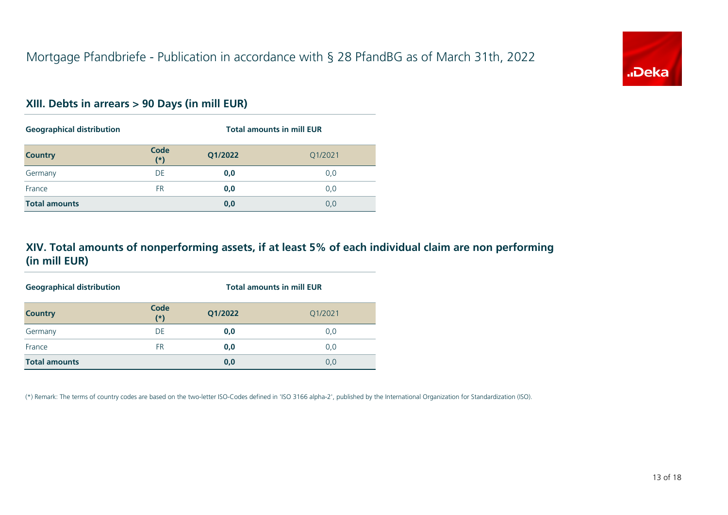

#### **XIII. Debts in arrears > 90 Days (in mill EUR)**

| <b>Geographical distribution</b> |               | <b>Total amounts in mill EUR</b> |         |  |
|----------------------------------|---------------|----------------------------------|---------|--|
| <b>Country</b>                   | Code<br>$(*)$ | Q1/2022                          | Q1/2021 |  |
| Germany                          | DE            | 0,0                              | 0,0     |  |
| France                           | <b>FR</b>     | 0,0                              | 0,0     |  |
| <b>Total amounts</b>             |               | 0,0                              | 0,0     |  |

#### **XIV. Total amounts of nonperforming assets, if at least 5% of each individual claim are non performing (in mill EUR)**

| <b>Geographical distribution</b> |               | <b>Total amounts in mill EUR</b> |         |  |
|----------------------------------|---------------|----------------------------------|---------|--|
| <b>Country</b>                   | Code<br>$(*)$ | Q1/2022                          | Q1/2021 |  |
| Germany                          | DE            | 0,0                              | 0,0     |  |
| France                           | FR            | 0,0                              | 0,0     |  |
| <b>Total amounts</b>             |               | 0,0                              | 0,0     |  |

(\*) Remark: The terms of country codes are based on the two-letter ISO-Codes defined in 'ISO 3166 alpha-2', published by the International Organization for Standardization (ISO).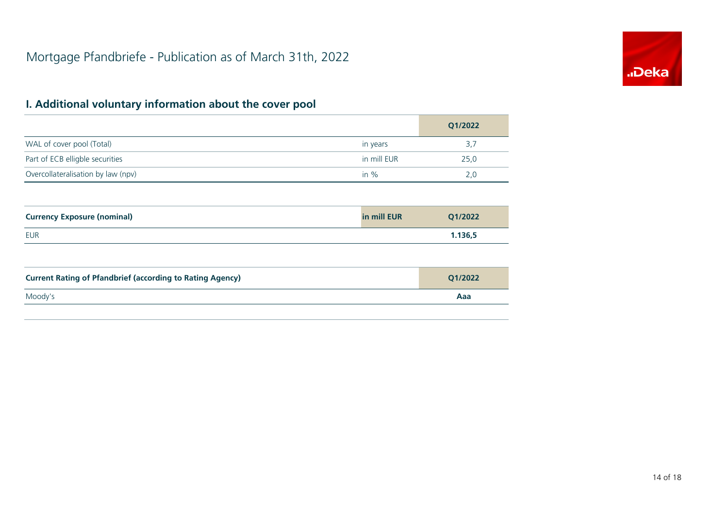

|                                    |             | Q1/2022 |
|------------------------------------|-------------|---------|
| WAL of cover pool (Total)          | in years    | 3,7     |
| Part of ECB elligble securities    | in mill EUR | 25.0    |
| Overcollateralisation by law (npv) | in $%$      | 2,0     |

| <b>Currency Exposure (nominal)</b> | in mill EUR | Q1/2022 |
|------------------------------------|-------------|---------|
| EUR                                |             | 1.136,5 |

| <b>Current Rating of Pfandbrief (according to Rating Agency)</b> | O1/2022 |
|------------------------------------------------------------------|---------|
| Moody's                                                          | Aaa     |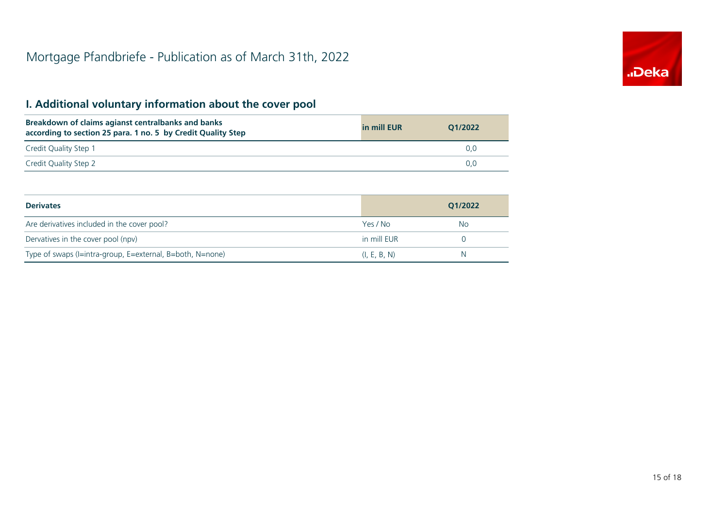

| Breakdown of claims agianst centralbanks and banks<br>according to section 25 para. 1 no. 5 by Credit Quality Step | in mill EUR | 01/2022 |
|--------------------------------------------------------------------------------------------------------------------|-------------|---------|
| Credit Quality Step 1                                                                                              |             | U.U     |
| Credit Quality Step 2                                                                                              |             | 0.O     |

| <b>Derivates</b>                                          |              | 01/2022 |
|-----------------------------------------------------------|--------------|---------|
| Are derivatives included in the cover pool?               | Yes / No     | No.     |
| Dervatives in the cover pool (npv)                        | in mill EUR  |         |
| Type of swaps (I=intra-group, E=external, B=both, N=none) | (I, E, B, N) | N       |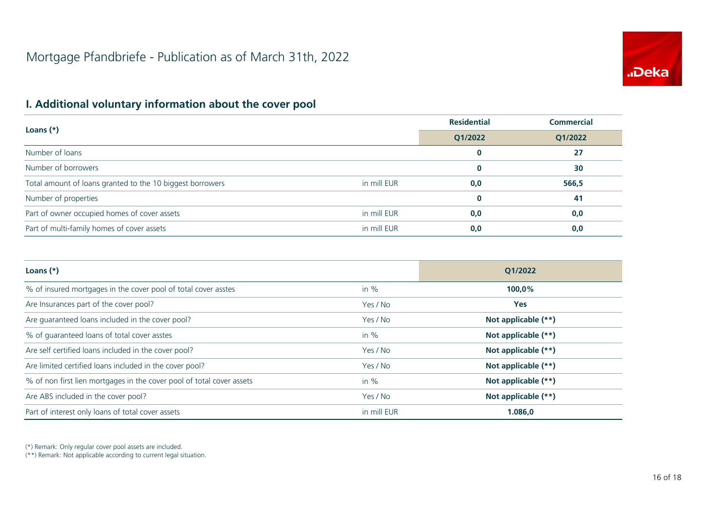

|                                                           |             | <b>Residential</b> | <b>Commercial</b> |
|-----------------------------------------------------------|-------------|--------------------|-------------------|
| Loans $(*)$                                               | Q1/2022     | Q1/2022            |                   |
| Number of loans                                           |             | $\bf{0}$           | 27                |
| Number of borrowers                                       |             | 0                  | 30                |
| Total amount of loans granted to the 10 biggest borrowers | in mill EUR | 0,0                | 566,5             |
| Number of properties                                      |             | 0                  | 41                |
| Part of owner occupied homes of cover assets              | in mill EUR | 0,0                | 0,0               |
| Part of multi-family homes of cover assets                | in mill EUR | 0,0                | 0,0               |

| Loans $(*)$                                                           |             | Q1/2022             |  |
|-----------------------------------------------------------------------|-------------|---------------------|--|
| % of insured mortgages in the cover pool of total cover asstes        | in $%$      | 100,0%              |  |
| Are Insurances part of the cover pool?                                | Yes / No    | <b>Yes</b>          |  |
| Are guaranteed loans included in the cover pool?                      | Yes / No    | Not applicable (**) |  |
| % of quaranteed loans of total cover asstes                           | in $%$      | Not applicable (**) |  |
| Are self certified loans included in the cover pool?                  | Yes / No    | Not applicable (**) |  |
| Are limited certified loans included in the cover pool?               | Yes / No    | Not applicable (**) |  |
| % of non first lien mortgages in the cover pool of total cover assets | in $%$      | Not applicable (**) |  |
| Are ABS included in the cover pool?                                   | Yes / No    | Not applicable (**) |  |
| Part of interest only loans of total cover assets                     | in mill EUR | 1.086,0             |  |

(\*) Remark: Only regular cover pool assets are included.

(\*\*) Remark: Not applicable according to current legal situation.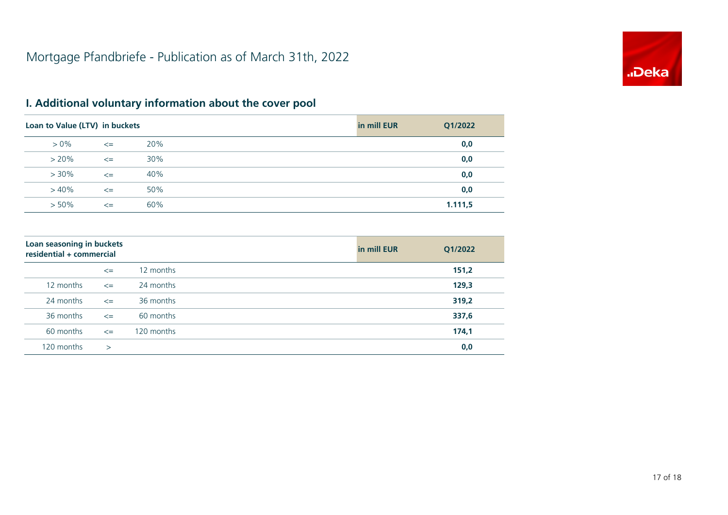

| Loan to Value (LTV) in buckets |        |     | in mill EUR | Q1/2022 |
|--------------------------------|--------|-----|-------------|---------|
| $> 0\%$                        | $\leq$ | 20% |             | 0,0     |
| $> 20\%$                       | $\leq$ | 30% |             | 0,0     |
| $> 30\%$                       | $\leq$ | 40% |             | 0,0     |
| $>40\%$                        | $\leq$ | 50% |             | 0,0     |
| $> 50\%$                       | $\leq$ | 60% |             | 1.111,5 |

| Loan seasoning in buckets<br>residential + commercial |        |            | in mill EUR | Q1/2022 |
|-------------------------------------------------------|--------|------------|-------------|---------|
|                                                       | $\leq$ | 12 months  |             | 151,2   |
| 12 months                                             | $\leq$ | 24 months  |             | 129,3   |
| 24 months                                             | $\leq$ | 36 months  |             | 319,2   |
| 36 months                                             | $\leq$ | 60 months  |             | 337,6   |
| 60 months                                             | $\leq$ | 120 months |             | 174,1   |
| 120 months                                            | $\geq$ |            |             | 0,0     |